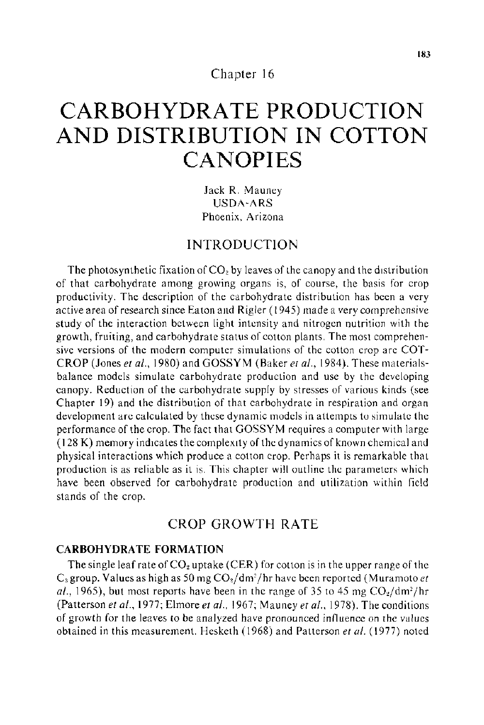Chapter 16

# **CARBOHYDRATE PRODUCTION AND DISTRIBUTION IN COTTON CANOPIES**

Jack R. Mauney USDA-ARS Phoenix, Arizona

## INTRODUCTION

The photosynthetic fixation of  $CO<sub>2</sub>$  by leaves of the canopy and the distribution of that carbohydrate among growing organs is, of course, the basis for crop productivity. The description of the carbohydrate distribution has been a very active area of research since Eaton and Rigler ( 1945) made a very comprehensive study of the interaction between light intensity and nitrogen nutrition with the growth, fruiting, and carbohydrate status of cotton plants. The most comprehensive versions of the modern computer simulations of the cotton crop are COT-CROP (Jones *eta!.,* 1980) and GOSSYM (Baker *eta/.,* 1984). These materialsbalance models simulate carbohydrate production and use by the developing canopy. Reduction of the carbohydrate supply by stresses of various kinds (see Chapter 19) and the distribution of that carbohydrate in respiration and organ development are calculated by these dynamic models in attempts to simulate the performance of the crop. The fact that GOSSY M requires a computer with large (128 K) memory indtcates the complextty of the dynamics of known chemical and physical interactions which produce a cotton crop. Perhaps it is remarkable that production is as reliable as it is. This chapter will outline the parameters which have been observed for carbohydrate production and utilization within field stands of the crop.

# CROP GROWTH RATE

### **CARBOHYDRATE FORMATION**

The single leaf rate of  $CO<sub>2</sub>$  uptake (CER) for cotton is in the upper range of the  $C_3$  group. Values as high as 50 mg  $CO<sub>2</sub>/dm<sup>2</sup>/hr$  have been reported (Muramoto *et* al., 1965), but most reports have been in the range of 35 to 45 mg  $CO<sub>2</sub>/dm<sup>2</sup>/hr$ (Patterson *et al.*, 1977; Elmore *et al.*, 1967; Mauney *et al.*, 1978). The conditions of growth for the leaves to be analyzed have pronounced influence on the values obtained in this measurement. Hesketh ( 1968) and Patterson *eta/.* ( 1977) noted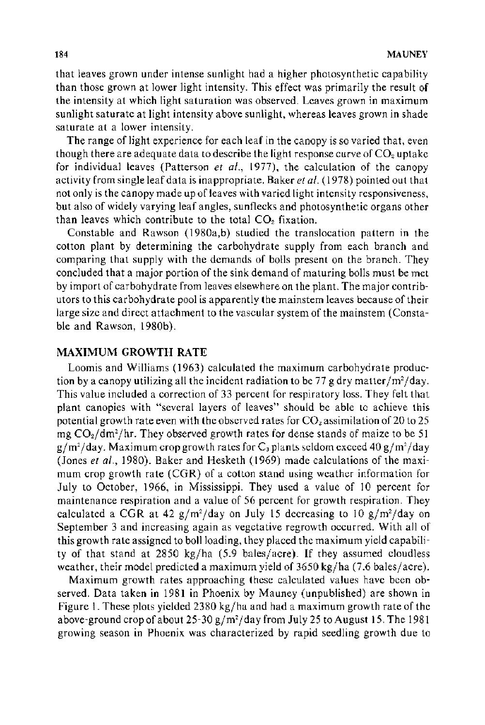that leaves grown under intense sunlight had a higher photosynthetic capability than those grown at lower light intensity. This effect was primarily the result of the intensity at which light saturation was observed. Leaves grown in maximum sunlight saturate at light intensity above sunlight, whereas leaves grown in shade saturate at a lower intensity.

The range of light experience for each leaf in the canopy is so varied that, even though there are adequate data to describe the light response curve of  $CO<sub>2</sub>$  uptake for individual leaves (Patterson *et a!.,* 1977), the calculation of the canopy activity from single leaf data is inappropriate. Baker *eta!.* ( 1978) pointed out that not only is the canopy made up of leaves with varied light intensity responsiveness, but also of widely varying leaf angles, sun flecks and photosynthetic organs other than leaves which contribute to the total  $CO<sub>2</sub>$  fixation.

Constable and Rawson (1980a,b) studied the translocation pattern in the cotton plant by determining the carbohydrate supply from each branch and comparing that supply with the demands of bolls present on the branch. They concluded that a major portion of the sink demand of maturing bolls must be met by import of carbohydrate from leaves elsewhere on the plant. The major contributors to this carbohydrate pool is apparently the mainstem leaves because of their large size and direct attachment to the vascular system of the mainstem (Constable and Rawson, 1980b).

### MAXIMUM GROWTH RATE

Loomis and Williams (1963) calculated the maximum carbohydrate production by a canopy utilizing all the incident radiation to be 77 g dry matter/m<sup>2</sup>/day. This value included a correction of 33 percent for respiratory loss. They felt that plant canopies with "several layers of leaves" should be able to achieve this potential growth rate even with the observed rates for  $CO_2$  assimilation of 20 to 25 mg  $CO_2/dm^2/hr$ . They observed growth rates for dense stands of maize to be 51 g/m<sup>2</sup>/day. Maximum crop growth rates for C<sub>a</sub> plants seldom exceed 40 g/m<sup>2</sup>/day (Jones *et al.,* 1980). Baker and Hesketh (1969) made calculations of the maximum crop growth rate (CGR) of a cotton stand using weather information for July to October, 1966, in Mississippi. They used a value of 10 percent for maintenance respiration and a value of 56 percent for growth respiration. They calculated a CGR at 42  $g/m^2$ /day on July 15 decreasing to 10  $g/m^2$ /day on September 3 and increasing again as vegetative regrowth occurred. With all of this growth rate assigned to boll loading, they placed the maximum yield capability of that stand at 2850 kg/ha  $(5.9 \text{ bales/acre})$ . If they assumed cloudless weather, their model predicted a maximum vield of  $3650 \text{ kg/ha}$  (7.6 bales/acre).

Maximum growth rates approaching these calculated values have been observed. Data taken in 1981 in Phoenix by Mauney (unpublished) are shown in Figure 1. These plots yielded 2380 kg/ha and had a maximum growth rate of the above-ground crop of about 25-30 gjm*2* /day from July 25 to August 15. The 1981 growing season in Phoenix was characterized by rapid seedling growth due to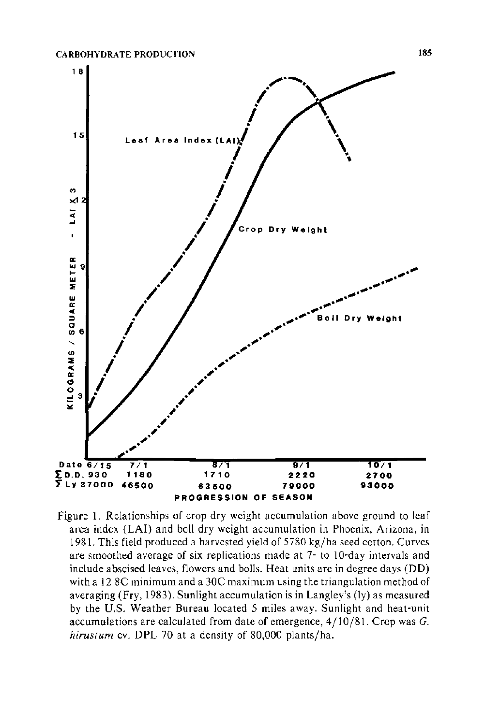

Figure 1. Relationships of crop dry weight accumulation above ground to leaf area index (LAI) and boll dry weight accumulation in Phoenix, Arizona, in 1981. This field produced a harvested yield of 5780 kg/ha seed cotton. Curves are smoothed average of six replications made at 7- to 10-day intervals and include abscised leaves, flowers and bolls. Heat units are in degree days (DD) with a 12.8C minimum and a 30C maximum using the triangulation method of averaging (Fry, 1983). Sunlight accumulation is in Langley's (ly) as measured by the U.S. Weather Bureau located 5 miles away. Sunlight and heat-unit accumulations are calculated from date of emergence,  $4/10/81$ . Crop was  $G$ . *hirustum* cv. DPL 70 at a density of 80,000 plants/ha.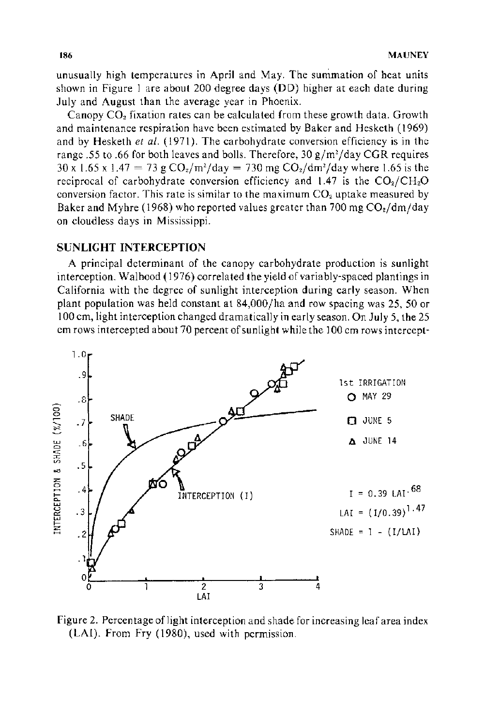unusually high temperatures in April and May. The summation of heat units shown in Figure 1 are about 200 degree days (DO) higher at each date during July and August than the average year in Phoenix.

Canopy  $CO<sub>2</sub>$  fixation rates can be calculated from these growth data. Growth and maintenance respiration have been estimated by Baker and Hesketh (1969) and by Hesketh *et a/.* ( 1971). The carbohydrate conversion efficiency is in the range .55 to .66 for both leaves and bolls. Therefore, 30 g/m<sup>2</sup>/day CGR requires  $30 \times 1.65 \times 1.47 = 73 \text{ g } CO_2/\text{m}^2/\text{day} = 730 \text{ mg } CO_2/\text{dm}^2/\text{day}$  where 1.65 is the reciprocal of carbohydrate conversion efficiency and  $1.47$  is the  $CO<sub>2</sub>/CH<sub>2</sub>O$ conversion factor. This rate is similar to the maximum *COz* uptake measured by Baker and Myhre (1968) who reported values greater than 700 mg  $CO<sub>2</sub>/dm/day$ on cloudless days in Mississippi.

## SUNLIGHT INTERCEPTION

A principal determinant of the canopy carbohydrate production is sunlight interception. Walhood ( 1976) correlated the yield of variably-spaced plantings in California with the degree of sunlight interception during early season. When plant population was held constant at 84,000/ha and row spacing was 25, 50 or 100 em, light interception changed dramatically in early season. On July 5, the 25 em rows intercepted about 70 percent of sunlight while the 100 em rows intercept-



Figure 2. Percentage of light interception and shade for increasing leaf area index (LAI). From Fry ( 1980), used with permission.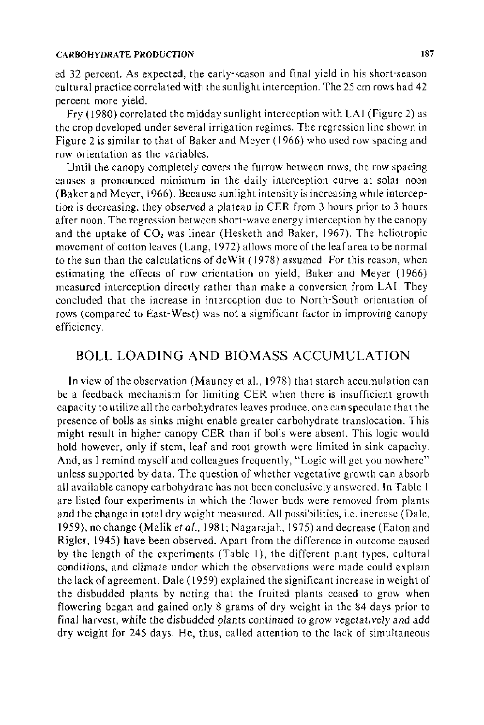#### CARBOHYDRATE PRODUCTION 187

ed 32 percent. As expected, the early-season and final yield in his short-season cultural practice correlated with the sunlight interception. The 25 em rows had 42 percent more yield.

Fry (1980) correlated the midday sunlight interception with LAI (Figure 2) as the crop developed under several irrigation regimes. The regression line shown in Figure 2 is similar to that of Baker and Meyer (1966) who used row spacing and row orientation as the variables.

Until the canopy completely covers the furrow between rows, the row spacing causes a pronounced minimum in the daily interception curve at solar noon (Baker and Meyer, 1966). Because sunlight intensity is increasing whtle interception is decreasing, they observed a plateau in CER from 3 hours prior to 3 hours after noon. The regression between short-wave energy interception by the canopy and the uptake of  $CO<sub>2</sub>$  was linear (Hesketh and Baker, 1967). The heliotropic movement of cotton leaves (Lang, 1972) allows more of the leaf area to be normal to the sun than the calculations of deW it ( 1978) assumed. For this reason, when estimating the effects of row orientation on yield, Baker and Meyer (1966) measured interception directly rather than make a conversion from LAI. They concluded that the increase in interception due to North-South orientation of rows (compared to East-West) was not a significant factor in improving canopy efficiency.

# **BOLL** LOADING AND BIOMASS ACCUMULATION

In view of the observation (Mauney et al., 1978) that starch accumulation can be a feedback mechanism for limiting CER when there is insufficient growth capacity to utilize all the carbohydrates leaves produce, one can speculate that the presence of bolls as sinks might enable greater carbohydrate translocation. This might result in higher canopy CER than if bolls were absent. This logic would hold however, only if stem, leaf and root growth were limited in sink capacity. And, as I remind myself and colleagues frequently, "Logic will get you nowhere" unless supported by data. The question of whether vegetative growth can absorb all available canopy carbohydrate has not been conclusively answered. In Table I are listed four experiments in which the flower buds were removed from plants and the change in total dry weight measured. All possibilities, i.e. increase (Dale, 1959), no change (Malik *et al.*, 1981; Nagarajah, 1975) and decrease (Eaton and Rigler, 1945) have been observed. Apart from the difference in outcome caused by the length of the experiments (Table I), the different plant types, cultural conditions, and climate under which the observations were made could explam the lack of agreement. Dale ( 1959) explained the significant increase in weight of the disbudded plants by noting that the fruited plants ceased to grow when flowering began and gained only 8 grams of dry weight in the 84 days prior to final harvest, while the disbudded plants continued to grow vegetatively and add dry weight for 245 days. He, thus, called attention to the lack of simultaneous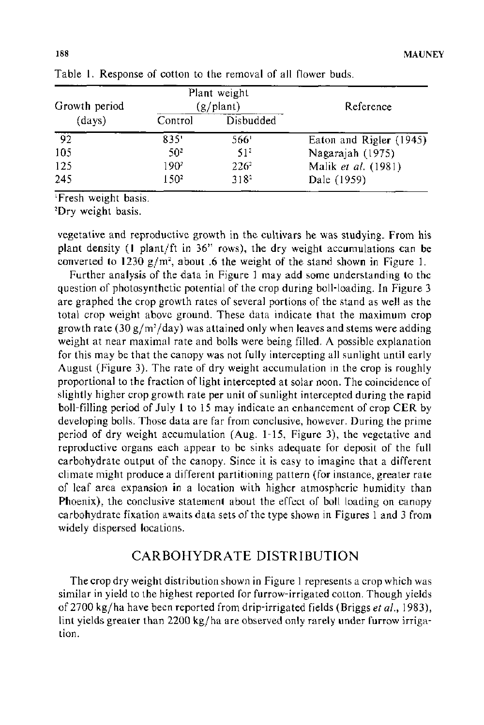| Growth period<br>(days) | Plant weight<br>(g/plant) |                  | Reference               |
|-------------------------|---------------------------|------------------|-------------------------|
|                         | Control                   | Disbudded        |                         |
| -92.                    | 835'                      | 566'             | Eaton and Rigler (1945) |
| 105                     | 50°                       | 51.              | Nagarajah (1975)        |
| 125                     | 190 <sup>2</sup>          | $226^2$          | Malik et al. (1981)     |
| 245                     | 150 <sup>2</sup>          | 318 <sup>2</sup> | Dale (1959)             |

Table 1. Response of cotton to the removal of all flower buds.

Fresh weight basis.

'Dry weight basis.

vegetative and reproductive growth in the cultivars he was studying. From his plant density (1 plant/ft in 36" rows), the dry weight accumulations can be converted to 1230  $g/m^2$ , about .6 the weight of the stand shown in Figure 1.

Further analysis of the data in Figure 1 may add some understanding to the question of photosynthetic potential of the crop during boll-loading. In Figure 3 are graphed the crop growth rates of several portions of the stand as well as the total crop weight above ground. These data indicate that the maximum crop growth rate (30 g/m<sup>2</sup>/day) was attained only when leaves and stems were adding weight at near maximal rate and bolls were being filled. A possible explanation for this may be that the canopy was not fully intercepting all sunlight until early August (Figure 3). The rate of dry weight accumulation in the crop is roughly proportional to the fraction of light intercepted at solar noon. The coincidence of slightly higher crop growth rate per unit of sunlight intercepted during the rapid boll-filling period of July 1 to 15 may indicate an enhancement of crop CER by developing bolls. Those data are far from conclusive, however. During the prime period of dry weight accumulation (Aug. 1-15, Figure 3), the vegetative and reproductive organs each appear to be sinks adequate for deposit of the full carbohydrate output of the canopy. Since it is easy to imagine that a different climate might produce a different partitioning pattern (for instance, greater rate of leaf area expansion in a location with higher atmospheric humidity than Phoenix), the conclusive statement about the effect of boll loading on canopy carbohydrate fixation awaits data sets of the type shown in Figures 1 and 3 from widely dispersed locations.

# CARBOHYDRATE DISTRIBUTION

The crop dry weight distribution shown in Figure 1 represents a crop which was similar in yield to the highest reported for furrow-irrigated cotton. Though yields of 2700 kg/ha have been reported from drip-irrigated fields (Briggs *et at.,* 1983), lint yields greater than 2200 kg/ha are observed only rarely under furrow irrigation.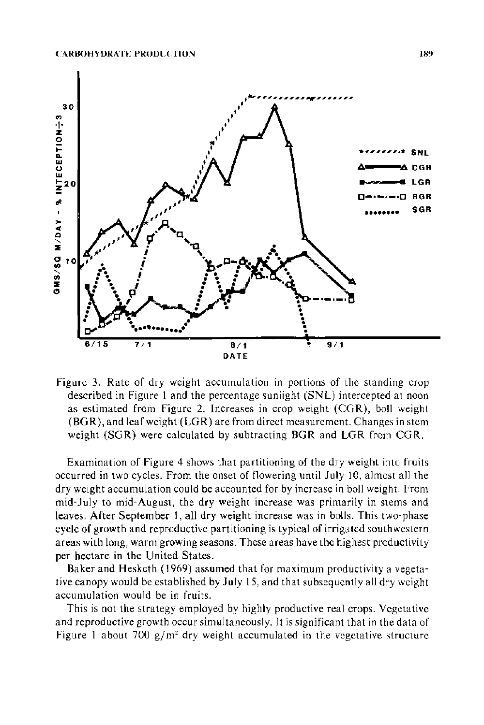

Figure 3. Rate of dry weight accumulation in portions of the standing crop described in Figure I and the percentage sunlight (SNL) intercepted at noon as estimated from Figure 2. Increases in crop weight (CGR), boll weight (BG R), and leaf weight (LGR) are from direct measurement. Changes in stem weight (SGR) were calculated by subtracting BGR and LGR from CGR.

Examination of Figure 4 shows that partitioning of the dry weight into fruits occurred in two cycles. From the onset of flowering until July 10, almost all the dry weight accumulation could be accounted for by increase in boll weight. From mid-July to mid-August, the dry weight increase was primarily in stems and leaves. After September 1, all dry weight increase was in bolls. This two-phase cycle of growth and reproductive partitioning is typical of irrigated southwestern areas with long, warm growing seasons. These areas have the highest productivity per hectare in the United States.

Baker and Hesketh (1969) assumed that for maximum productivity a vegetative canopy would be established by July 15, and that subsequently all dry weight accumulation would be in fruits.

This is not the strategy employed by highly productive real crops. Vegetative and reproductive growth occur simultaneously. It is significant that in the data of Figure 1 about 700  $g/m^2$  dry weight accumulated in the vegetative structure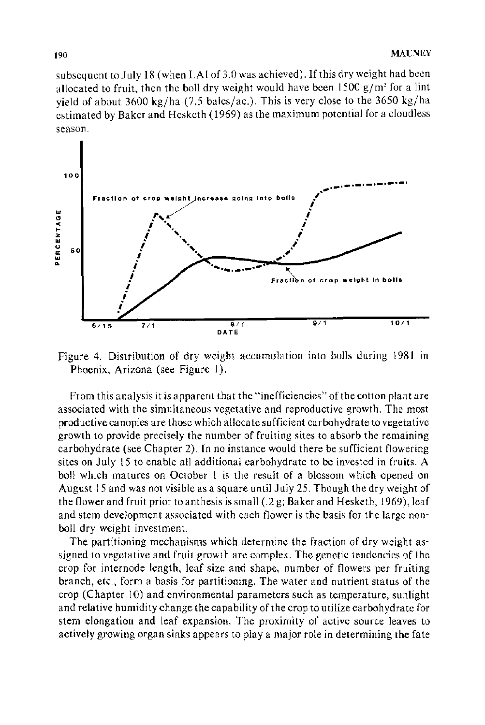subsequent to July 18 (when LAI of 3.0 was achieved). If this dry weight had been allocated to fruit, then the boll dry weight would have been 1500 *gjm'* for a lint yield of about 3600 kg/ha (7.5 bales/ac.). This is very close to the 3650 kg/ha estimated by Baker and Hesketh ( 1969) as the maximum potential for a cloudless season.



Figure 4. Distribution of dry weight accumulation into bolls during 1981 in Phoenix, Arizona (see Figure 1).

From this analysis it is apparent that the "inefficiencies" of the cotton plant are associated with the simultaneous vegetative and reproductive growth. The most productive canopies are those which allocate sufficient carbohydrate to vegetative growth to provide precisely the number of fruiting sites to absorb the remaining carbohydrate (see Chapter 2). In no instance would there be sufficient flowering sites on July 15 to enable all additional carbohydrate to be invested in fruits. A boll which matures on October l is the result of a blossom which opened on August 15 and was not visible as a square until July 25. Though the dry weight of the flower and fruit prior to anthesis is small (.2 g; Baker and Hesketh, 1969), leaf and stem development associated with each flower is the basis for the large nonboll dry weight investment.

The partitioning mechanisms which determine the fraction of dry weight assigned to vegetative and fruit growth are complex. The genetic tendencies of the crop for internode length, leaf size and shape, number of flowers per fruiting branch, etc., form a basis for partitioning. The water and nutrient status of the crop (Chapter 10) and environmental parameters such as temperature, sunlight and relative humidity change the capability of the crop to utilize carbohydrate for stem elongation and leaf expansion, The proximity of active source leaves to actively growing organ sinks appears to play a major role in determining the fate